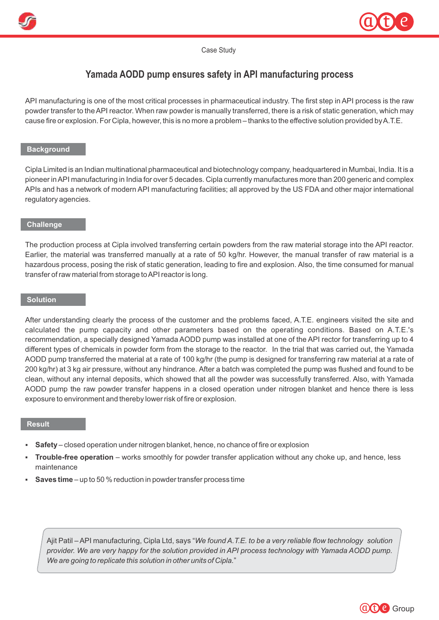



Case Study

# **Yamada AODD pump ensures safety in API manufacturing process**

API manufacturing is one of the most critical processes in pharmaceutical industry. The first step in API process is the raw powder transfer to the API reactor. When raw powder is manually transferred, there is a risk of static generation, which may cause fire or explosion. For Cipla, however, this is no more a problem – thanks to the effective solution provided by A.T.E.

## **Background**

Cipla Limited is an Indian multinational pharmaceutical and biotechnology company, headquartered in Mumbai, India. It is a pioneer in API manufacturing in India for over 5 decades. Cipla currently manufactures more than 200 generic and complex APIs and has a network of modern API manufacturing facilities; all approved by the US FDA and other major international regulatory agencies.

### **Challenge**

The production process at Cipla involved transferring certain powders from the raw material storage into the API reactor. Earlier, the material was transferred manually at a rate of 50 kg/hr. However, the manual transfer of raw material is a hazardous process, posing the risk of static generation, leading to fire and explosion. Also, the time consumed for manual transfer of raw material from storage to API reactor is long.

# **Solution**

After understanding clearly the process of the customer and the problems faced, A.T.E. engineers visited the site and calculated the pump capacity and other parameters based on the operating conditions. Based on A.T.E.'s recommendation, a specially designed Yamada AODD pump was installed at one of the API rector for transferring up to 4 different types of chemicals in powder form from the storage to the reactor. In the trial that was carried out, the Yamada AODD pump transferred the material at a rate of 100 kg/hr (the pump is designed for transferring raw material at a rate of 200 kg/hr) at 3 kg air pressure, without any hindrance. After a batch was completed the pump was flushed and found to be clean, without any internal deposits, which showed that all the powder was successfully transferred. Also, with Yamada AODD pump the raw powder transfer happens in a closed operation under nitrogen blanket and hence there is less exposure to environment and thereby lower risk of fire or explosion.

#### **Result**

- § **Safety** closed operation under nitrogen blanket, hence, no chance of fire or explosion
- § **Trouble-free operation** works smoothly for powder transfer application without any choke up, and hence, less maintenance
- § **Saves time** up to 50 % reduction in powder transfer process time

Ajit Patil – API manufacturing, Cipla Ltd, says "*We found A.T.E. to be a very reliable flow technology solution*  provider. We are very happy for the solution provided in API process technology with Yamada AODD pump. *We are going to replicate this solution in other units of Cipla.*"